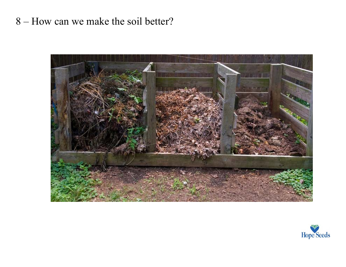## 8 – How can we make the soil better?



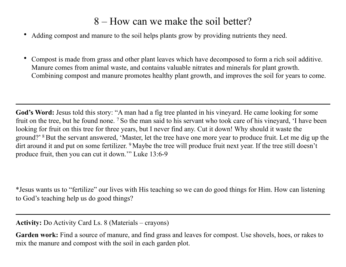## 8 – How can we make the soil better?

- Adding compost and manure to the soil helps plants grow by providing nutrients they need.
- Compost is made from grass and other plant leaves which have decomposed to form a rich soil additive. Manure comes from animal waste, and contains valuable nitrates and minerals for plant growth. Combining compost and manure promotes healthy plant growth, and improves the soil for years to come.

God's Word: Jesus told this story: "A man had a fig tree planted in his vineyard. He came looking for some fruit on the tree, but he found none. 7 So the man said to his servant who took care of his vineyard, 'I have been looking for fruit on this tree for three years, but I never find any. Cut it down! Why should it waste the ground?' 8 But the servant answered, 'Master, let the tree have one more year to produce fruit. Let me dig up the dirt around it and put on some fertilizer. <sup>9</sup> Maybe the tree will produce fruit next year. If the tree still doesn't produce fruit, then you can cut it down.'" Luke 13:6-9

\*Jesus wants us to "fertilize" our lives with His teaching so we can do good things for Him. How can listening to God's teaching help us do good things?

**Activity:** Do Activity Card Ls. 8 (Materials – crayons)

**Garden work:** Find a source of manure, and find grass and leaves for compost. Use shovels, hoes, or rakes to mix the manure and compost with the soil in each garden plot.